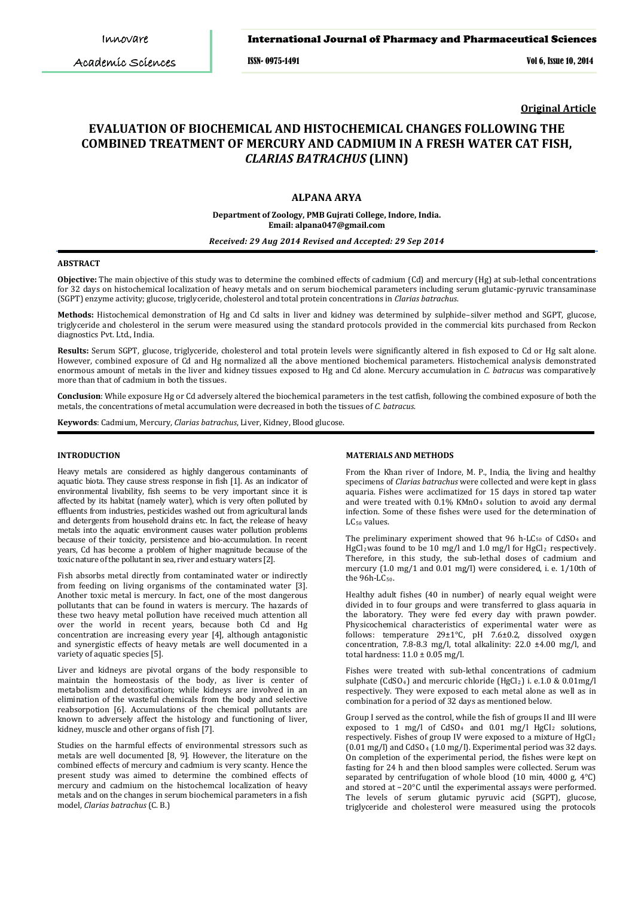## International Journal of Pharmacy and Pharmaceutical Sciences

ISSN- 0975-1491 Vol 6, Issue 10, 2014

**Original Article**

# **EVALUATION OF BIOCHEMICAL AND HISTOCHEMICAL CHANGES FOLLOWING THE COMBINED TREATMENT OF MERCURY AND CADMIUM IN A FRESH WATER CAT FISH,** *CLARIAS BATRACHUS* **(LINN)**

# **ALPANA ARYA**

**Department of Zoology, PMB Gujrati College, Indore, India. Email: alpana047@gmail.com**

## *Received: 29 Aug 2014 Revised and Accepted: 29 Sep 2014*

# **ABSTRACT**

**Objective:** The main objective of this study was to determine the combined effects of cadmium (Cd) and mercury (Hg) at sub-lethal concentrations for 32 days on histochemical localization of heavy metals and on serum biochemical parameters including serum glutamic-pyruvic transaminase (SGPT) enzyme activity; glucose, triglyceride, cholesterol and total protein concentrations in *Clarias batrachus*.

**Methods:** Histochemical demonstration of Hg and Cd salts in liver and kidney was determined by sulphide–silver method and SGPT, glucose, triglyceride and cholesterol in the serum were measured using the standard protocols provided in the commercial kits purchased from Reckon diagnostics Pvt. Ltd., India.

**Results:** Serum SGPT, glucose, triglyceride, cholesterol and total protein levels were significantly altered in fish exposed to Cd or Hg salt alone. However, combined exposure of Cd and Hg normalized all the above mentioned biochemical parameters. Histochemical analysis demonstrated enormous amount of metals in the liver and kidney tissues exposed to Hg and Cd alone. Mercury accumulation in *C. batracus* was comparatively more than that of cadmium in both the tissues.

**Conclusion**: While exposure Hg or Cd adversely altered the biochemical parameters in the test catfish, following the combined exposure of both the metals, the concentrations of metal accumulation were decreased in both the tissues of *C. batracus*.

**Keywords**: Cadmium, Mercury, *Clarias batrachus*, Liver, Kidney, Blood glucose.

## **INTRODUCTION**

Heavy metals are considered as highly dangerous contaminants of aquatic biota. They cause stress response in fish [1]. As an indicator of environmental livability, fish seems to be very important since it is affected by its habitat (namely water), which is very often polluted by effluents from industries, pesticides washed out from agricultural lands and detergents from household drains etc. In fact, the release of heavy metals into the aquatic environment causes water pollution problems because of their toxicity, persistence and bio-accumulation. In recent years, Cd has become a problem of higher magnitude because of the toxic nature of the pollutant in sea, river and estuary waters [2].

Fish absorbs metal directly from contaminated water or indirectly from feeding on living organisms of the contaminated water [3]. Another toxic metal is mercury. In fact, one of the most dangerous pollutants that can be found in waters is mercury. The hazards of these two heavy metal pollution have received much attention all over the world in recent years, because both Cd and Hg concentration are increasing every year [4], although antagonistic and synergistic effects of heavy metals are well documented in a variety of aquatic species [5].

Liver and kidneys are pivotal organs of the body responsible to maintain the homeostasis of the body, as liver is center of metabolism and detoxification; while kidneys are involved in an elimination of the wasteful chemicals from the body and selective reabsorpotion [6]. Accumulations of the chemical pollutants are known to adversely affect the histology and functioning of liver, kidney, muscle and other organs of fish [7].

Studies on the harmful effects of environmental stressors such as metals are well documented [8, 9]. However, the literature on the combined effects of mercury and cadmium is very scanty. Hence the present study was aimed to determine the combined effects of mercury and cadmium on the histochemcal localization of heavy metals and on the changes in serum biochemical parameters in a fish model, *Clarias batrachus* (C. B.)

#### **MATERIALS AND METHODS**

From the Khan river of Indore, M. P., India, the living and healthy specimens of *Clarias batrachus* were collected and were kept in glass aquaria. Fishes were acclimatized for 15 days in stored tap water and were treated with  $0.1\%$  KMnO<sub>4</sub> solution to avoid any dermal infection. Some of these fishes were used for the determination of LC<sub>50</sub> values.

The preliminary experiment showed that 96 h-LC 50 of CdSO4 and HgCl<sub>2</sub>was found to be 10 mg/l and 1.0 mg/l for HgCl<sub>2</sub> respectively. Therefore, in this study, the sub-lethal doses of cadmium and mercury (1.0 mg/1 and 0.01 mg/l) were considered, i. e. 1/10th of the  $96h$ -LC $_{50}$ .

Healthy adult fishes (40 in number) of nearly equal weight were divided in to four groups and were transferred to glass aquaria in the laboratory. They were fed every day with prawn powder. Physicochemical characteristics of experimental water were as follows: temperature 29±1°C, pH 7.6±0.2, dissolved oxygen concentration, 7.8-8.3 mg/l, total alkalinity: 22.0 ±4.00 mg/l, and total hardness:  $11.0 \pm 0.05$  mg/l.

Fishes were treated with sub-lethal concentrations of cadmium sulphate (CdSO4) and mercuric chloride (HgCl2 ) i. e.1.0 & 0.01mg/l respectively. They were exposed to each metal alone as well as in combination for a period of 32 days as mentioned below.

Group I served as the control, while the fish of groups II and III were exposed to  $1 \text{ mg/l}$  of  $CdSO_4$  and  $0.01 \text{ mg/l}$  HgCl<sub>2</sub> solutions, respectively. Fishes of group IV were exposed to a mixture of HgCl2  $(0.01 \text{ mg/l})$  and CdSO<sub>4</sub>  $(1.0 \text{ mg/l})$ . Experimental period was 32 days. On completion of the experimental period, the fishes were kept on fasting for 24 h and then blood samples were collected. Serum was separated by centrifugation of whole blood (10 min, 4000 g, 4°C) and stored at −20°C until the experimental assays were performed. The levels of serum glutamic pyruvic acid (SGPT), glucose, triglyceride and cholesterol were measured using the protocols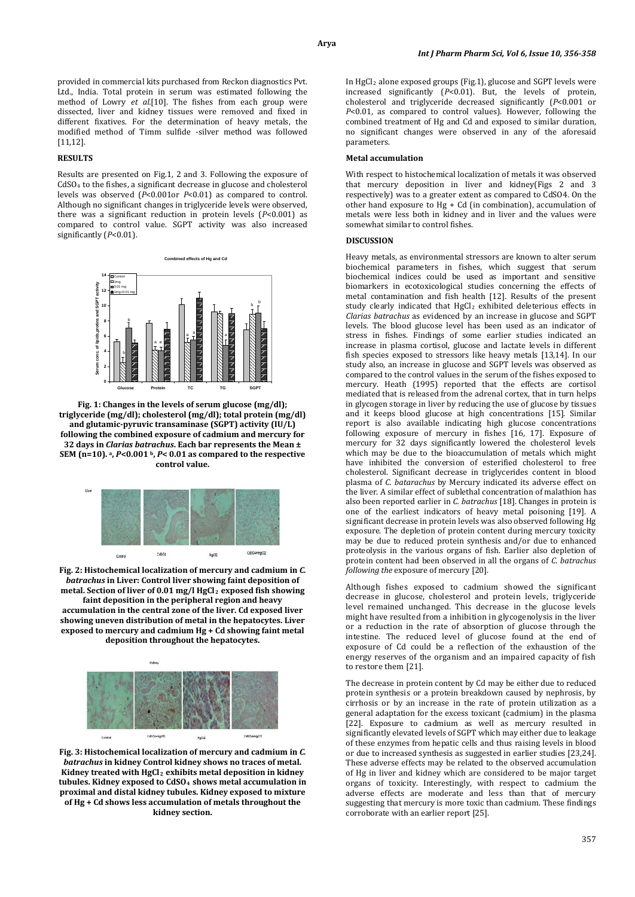provided in commercial kits purchased from Reckon diagnostics Pvt. Ltd., India. Total protein in serum was estimated following the method of Lowry *et al.*[10]. The fishes from each group were dissected, liver and kidney tissues were removed and fixed in different fixatives. For the determination of heavy metals, the modified method of Timm sulfide -silver method was followed [11,12].

## **RESULTS**

Results are presented on Fig.1, 2 and 3. Following the exposure of CdSO4 to the fishes, a significant decrease in glucose and cholesterol levels was observed (*P*<0.001or *P*<0.01) as compared to control. Although no significant changes in triglyceride levels were observed, there was a significant reduction in protein levels (*P*<0.001) as compared to control value. SGPT activity was also increased significantly (*P*<0.01).



**Fig. 1: Changes in the levels of serum glucose (mg/dl); triglyceride (mg/dl); cholesterol (mg/dl); total protein (mg/dl) and glutamic-pyruvic transaminase (SGPT) activity (IU/L) following the combined exposure of cadmium and mercury for 32 days in** *Clarias batrachus***. Each bar represents the Mean ± SEM (n=10). a,** *P***<0.001 b,** *P***< 0.01 as compared to the respective control value.**



**Fig. 2: Histochemical localization of mercury and cadmium in** *C. batrachus* **in Liver: Control liver showing faint deposition of metal. Section of liver of 0.01 mg/l HgCl2 exposed fish showing faint deposition in the peripheral region and heavy accumulation in the central zone of the liver. Cd exposed liver showing uneven distribution of metal in the hepatocytes. Liver exposed to mercury and cadmium Hg + Cd showing faint metal deposition throughout the hepatocytes.**



**Fig. 3: Histochemical localization of mercury and cadmium in** *C. batrachus* **in kidney Control kidney shows no traces of metal. Kidney treated with HgCl2 exhibits metal deposition in kidney tubules. Kidney exposed to CdSO4 shows metal accumulation in proximal and distal kidney tubules. Kidney exposed to mixture of Hg + Cd shows less accumulation of metals throughout the kidney section.**

In HgCl 2 alone exposed groups (Fig.1), glucose and SGPT levels were increased significantly (*P*<0.01). But, the levels of protein, cholesterol and triglyceride decreased significantly (*P*<0.001 or *P*<0.01, as compared to control values). However, following the combined treatment of Hg and Cd and exposed to similar duration, no significant changes were observed in any of the aforesaid parameters.

#### **Metal accumulation**

With respect to histochemical localization of metals it was observed that mercury deposition in liver and kidney(Figs 2 and 3 respectively) was to a greater extent as compared to CdSO4. On the other hand exposure to Hg + Cd (in combination), accumulation of metals were less both in kidney and in liver and the values were somewhat similar to control fishes.

#### **DISCUSSION**

Heavy metals, as environmental stressors are known to alter serum biochemical parameters in fishes, which suggest that serum biochemical indices could be used as important and sensitive biomarkers in ecotoxicological studies concerning the effects of metal contamination and fish health [12]. Results of the present  $study$  clearly indicated that  $HgCl<sub>2</sub>$  exhibited deleterious effects in *Clarias batrachus* as evidenced by an increase in glucose and SGPT levels. The blood glucose level has been used as an indicator of stress in fishes. Findings of some earlier studies indicated an increase in plasma cortisol, glucose and lactate levels in different fish species exposed to stressors like heavy metals [13,14]. In our study also, an increase in glucose and SGPT levels was observed as compared to the control values in the serum of the fishes exposed to mercury. Heath (1995) reported that the effects are cortisol mediated that is released from the adrenal cortex, that in turn helps in glycogen storage in liver by reducing the use of glucose by tissues and it keeps blood glucose at high concentrations [15]. Similar report is also available indicating high glucose concentrations following exposure of mercury in fishes [16, 17]. Exposure of mercury for 32 days significantly lowered the cholesterol levels which may be due to the bioaccumulation of metals which might have inhibited the conversion of esterified cholesterol to free cholesterol. Significant decrease in triglycerides content in blood plasma of *C. batarachus* by Mercury indicated its adverse effect on the liver. A similar effect of sublethal concentration of malathion has also been reported earlier in *C. batrachus* [18]. Changes in protein is one of the earliest indicators of heavy metal poisoning [19]. A significant decrease in protein levels was also observed following Hg exposure. The depletion of protein content during mercury toxicity may be due to reduced protein synthesis and/or due to enhanced proteolysis in the various organs of fish. Earlier also depletion of protein content had been observed in all the organs of *C. batrachus following the* exposure of mercury [20].

Although fishes exposed to cadmium showed the significant decrease in glucose, cholesterol and protein levels, triglyceride level remained unchanged. This decrease in the glucose levels might have resulted from a inhibition in glycogenolysis in the liver or a reduction in the rate of absorption of glucose through the intestine. The reduced level of glucose found at the end of exposure of Cd could be a reflection of the exhaustion of the energy reserves of the organism and an impaired capacity of fish to restore them [21].

The decrease in protein content by Cd may be either due to reduced protein synthesis or a protein breakdown caused by nephrosis, by cirrhosis or by an increase in the rate of protein utilization as a general adaptation for the excess toxicant (cadmium) in the plasma [22]. Exposure to cadmium as well as mercury resulted in significantly elevated levels of SGPT which may either due to leakage of these enzymes from hepatic cells and thus raising levels in blood or due to increased synthesis as suggested in earlier studies [23,24]. These adverse effects may be related to the observed accumulation of Hg in liver and kidney which are considered to be major target organs of toxicity. Interestingly, with respect to cadmium the adverse effects are moderate and less than that of mercury suggesting that mercury is more toxic than cadmium. These findings corroborate with an earlier report [25].